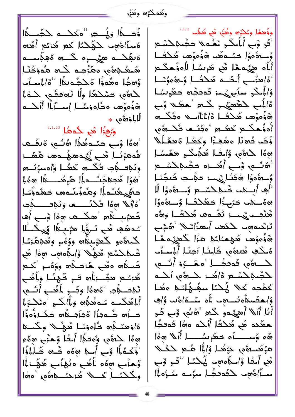ذَكِبُوا ويُدِ "مكلم للجَمْسَلَا كَسْتَأْفَيْهِ لِلْهَكْمَا كُمْ هَٰزِعُمْ أَهْدِهِ ەلبۇلمىيە ھېمبوه شىسە ۋەبۇلمىسە هُمعُكِمِهُم، مكَنْجِم كُنْهِ هُودُنُنَا وَّهجُل هِ هُدوُّل هَكجُـدِيدًا  $\int_0^{2^{12}}$ المِــٱب لْحَدَّى حَمْحَهُا وِلًا نُحْفَجُمِ حَــهُ! هْذُهوْهم وجَّاوذِهُــا إمــزُّبَّا ٱلْكــو  $\cdot \cdot \cdot$ وَرْدِ أَنْ سَكُومًا أَهْمًا وْ؎ حَمَّــهمْدَاْ هُنَــْم هَٰدِكَتَــمــه تَدَهَّمُ مَعْصَمُ مَعْ أَنْ مِنْ مَعْ أَشْتَرْهُ مَعْهَ وِلْكِلْحَــكُفِ تَكْـــرَه كَتْمَــا وَأَاهْمَهُ لَــرَمْ ُهُوْا هُجِمْجُبُّــهِ أَا هُرِهُـــشَمَّا هُوَ حَشَّىهُمْ وَمَعْ وَمَسْدَهِ مِنْ مَعْدَوَّمَا } أَهْلَا 1هِ أَكْلُــــــم وَلَــْكُمْــــــــــكِفْ كُعبُمبِــٰدُه و گــمــم هوهُ أوْـــــــم أُه للْمَكْرِيَّ الْمَبْدِيَّةِ الْمُؤْمَنِّينَ مِنْ مِشْمَدَّ كْبِرْهُو كَعِبْنِيهُ وَوَمُنِ وَقُدِهَدَكُ ضَمِكْسُم مُعِيَّلا وَالْمُورُوبِ وَوَا مُع هُزَسُم هِجُسزَلُه فَبِ فَهِنَا وَلَمِ هُم لَّذِتِ أَوْمَا وَجَّــِ ۚ أَهُى ٱنَّــَى أَلِمَعْكَمِــم صُحبُرُه وِلَمُ/كَــبِ أَهْلَكَجُلُ حَــزُه خُــودُرُا هُجِزُجــٰكُله حَكَــٰروُّهوْا هُ/وهمُكُمُ = حُلووْسُل هُجُسُلا وكُمِــٰهِ وَوَٰءًا لِحَوْثَوَى وَوَدَهُا أَمْثُلَ وَحَدْبٍ وَوَوَ ْ وَّكُـٰهُۖ إِنِّي أَسِـٰهِ وَهَو ضُـُو ضَلِيْوَا ۖ وَّهِنْبِ 200 نَاهُبِ 20نُهِنَّبِ هَٰذَا بِهِ ا وكُلْمُسَا كُلْمُ هُزْهَيْهِ وَهُوَ وَهُوَ

وؤهها وكلاوه وهُنّي هي هُكّم " َكَبِ وْبِ ٱلْمُكْبِ مْعُـهِ لا حَجْمِلِكْسُـعِ وُٓ؎۞٥وُا حَسَّـهمَد ۞وُوهِٛهم هَٰذَكُــا ٱلَمَاهِ هِيَْهِمْا هُم هُبِرْسُا لِلْهُ وَمُحْصَرِ أَهُ ُ مِنْنَ أَمَثَـــم هَٰكَتُـــا وُ مِهُ هُوُـْــا وْالْمَكْمِ مِعْلَى بِهِينَ مِنْهُمْ لِمُحَافِظَةِ مِنْ الْمَالِمَ أَأَبَاسِ لِمَعْتَقِيَ لِمَ لَمْسَ مُعَكِنا وَسَمِ هْؤُهوْهما هُكْتُما وْالْمْلَأْسِيْلِ وَتُكْتُرُوا أُهزَّهكُم كَعْدُم ۚ وَكِنْسِهِ ثَكْلُ وَهُ وَلِ وَّضَا تُـ20لَ مِھُھِـزَّا وِكَھُـا ہُعفَـاُلا رەۋا كرۋە ۆلىئا قىگېڭى ھۇسلا أَهْشَـــهِ، وْســـهِ أَهْـــــزه حَجْمِلِكَـمْــــــعِز وَّــوَهُوا وَكَنُـاجَــزِ تكُمْــدِ خَلَقَـــةِ أَبْ أَبْدَاء خَيْدِيْشُو وَّتْوَوْا لَٰا هؤسنام حَرَبٍّ أحكَلَتْ أَوْسِيُّ وَإِ هْنْجِبْ، يْهِبْ: نْݣُــوها هْـكْتُبْ وْهُو تَوْكَعِمُومَ لِلْكَعِيدِ أَعْمَدُ اُسْلاً أَهْتَمِبِ شَوْءِهُم تَمْهِمْلِمً مِزَا كَعِيَهِمْ أَمْ ەُݣُّْْ دُىرە بْنَ مْلَىلُا أَجِئْا أَبْنِيْشْ بْنَا بْنَا بْنَا لكَ هُوَى قَوْمَهُمْ وَالْقَسْمَ وَالْمُسْمَى لِلْمُسْمَى لِحَشِيكِيْسِيمْ وْاهْدِ لِحَسِرْهُ وْالْمَحْسَمْ كَفْجِهِ كَلا لَمُكْمَل مِجْمِهَٰلِنَّةِ وَهُـا وْْاهِقْمْنِدْهُ مُسْبِهِمْ ۚ يَاهِ ۖ مَسْتَهْاهُ لِلَّهِ وَاهِي أَمَلَا أَأَلمًا أَهْهُمُو كُلُّهُ أَهْلُهُمْ وَجِبٌ ثَبِيرٍ هعَده هُم مَدْحُا ٱلْذَه هُوَا ضَوحِبًا هُه وُمـــــــأه حَكَبِرْسُـــــــا أَآمِلا هِهُا هِ مَحْسِبُهُ مِنْ مِنْ مِنْ وَالِمَا هُـمِ حَـدْ لَا هُمْ أَمِثُلَ وَّاسِكُوهِمْ لِّكْسُلَ "قَبْ وَْبِ مَسَرًّاهُ وَمِنْ حَجَّدَدَجُنَا مِجَمَّدٍ مَمْيَرُهِ لِلْمَ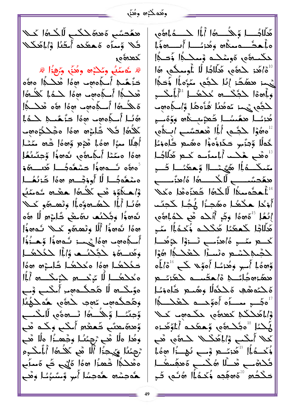همّحسّب هُههَككب لَالحُـهُا كَــلا ثَلا وَمِيزُه هَجعَدِه أَيضُلْ وْالْمِكْلا toors ® مُصَمَّلُ وَمَكَبَرَه وَهُنَّى وَرَجَزًا ® دَّمْهُمْ أُسْلَمُوهِ وَوَٰهُ هُكْلُمُ وَوَّهَ هَكِمُ أَسْكُمُوهِ وَوَا كَلَّهُ الْكُلُّهُ ا هُكُمُ أَسْكُوهِ وَوَا هُوَ هُكُمُ هُنُا أُسِلَمُوهِب هِوُا حَنُمُسِهِ لِمَسْمُ كْلُمُّا ثَلا خَلْبُرْه هِهُا مِجْلَكُمُ وهِ أُهِلًا مِيرًا هؤمًا هُرْمٍ وَهؤا ذُهِ مَمْنَا هِهَا مِمْنَا أَمِكْمِيهُم شَهوْا وَجِنَىنُ**مَا** أَههُم شَــههوُ اخشَعْههجُــــا هُنــــهُو منْحُدِجُــا لَٰا أُوفِجْــــرِ وَوَا خَزِنُعُــا وْْاهِـٰٰٰٰٓهُوۡ مُّبِي ݣْلَـٰهُۚا هِمْـهِ شُومَٰنَىٰۖ هُ نُـا أَبَلًا ۖ حَـهُــهوَّه أَا ونُـهــهُو ۚ كَـــلا ثُهودُا وِجُمْنُم بِهَيشَ خُلِبْهِمْ لَا هُو هِهُا نُهِهِ أَوْلَ إِلَّا وَنُعِيهِ كَلِّي شَوْهِ إِ أَكْمِدَةٍ أَوْمَانَ إِلَيْهِ مِنْ مِنْ الْمُحَدِّدُواْ وهُنْدُو حَجَّجْتُدْ وُالْجَاءِ حَجَّجَاءِ الْمَسْتَةِ حَكُكْمًا هَوَا وَحُكْمًا خَاجَرَهِ هَوَا ەكىلگىل لا يېتىدە ئېگىدە آبال ەۋىكى لا مُحكە و أىڭى ۋى وهَٰڪكُم؈ ۦٚ؈ڢ ڂ۞۫ٯ ۿؘڡڬۿؙٮؙٳ وُجِئْسًا وُلِمُسْوَٰا نُسْوَءُو لَاعْتَسِي ۇھەمھىدىگىم ئىمھىدە أىكىم وڭىم ئىس وهُا هلُا هُے ْرَجِئْنُا وِجْعِدًا هلُا هُے َّرْحِمُ*نْ*ا وَكَجِجُّا ٱلْا شَي كَلَّـْهُا ٱلْمُكْــوِّ وَهْلِجًا ضَعِيرًا هَا وَلَا مِنْ أَيْضِهِ مِنْ هُوجِسُهِ هُوجِسًا أَبِرٍ وُسُبُبُهَا وَهُبِ

هَلَلاجُـــــــــــ \$ \ أَبِأَل حَــــــهُ بِمَهْمٍ وأهشهمه ومُزنُسا أسدوفا حكْسِيُّهِ, هُوِسْكُتْ وْمِحْكُمُ أَوْصَـٰهُمْ أَهْ/هُ: كَجُومٍ هَكَلاجُا لَا غُوسِكُمِ هَا أَيْهِمْ هِجَمْ إِمَّا لِكَبَّهِ مَيْهُمْ أَوْ ذَكَرًا وَخَذَبَهُ وِلْمُهِمْ لِحِمْكُمِ مُحْمَدًا أَلْمُكُمْ وَالْمُسْتَدِينَ لجَمَّهِ بَهْمَ مَعْمًا فَزَّهَ مَا وَمُكْمَّلِ مَنْ الْمَعْدَ هُزمُـا همُسُـا خُعبُطِـدُ وَوَّەُـــو أَهْوُا لِحَمْسِي أَبَأَا هُعْمَسُبِ ابْتَأْىِ خُولًا وُجِنَّبِ حَكْرَوُّووْۤا وهُبِع خُلووْيًا أه مْبِ هْكْبْ أَبْلِمْتُوتِ كُنْعَ مُكْلَاجُنَّا سِكْكُ أَبَلْ الْمَهْمِيَّةِ الْمَسْتَمَرَّةِ مِنْ الْمُسْكَسِدِ أَعْجَدُ مِنْهَ الْكُلُّهَ الْحَكْرَةَ وَهُلْ وَكُلا أُفِكْلِ هَكْعُكُلْ هِهُجِئُلْ يُجُلْ كُجِئْب إِنَّهَا أَأْمَاهُ أَوْجَمِ أَأَلَمْهِ هُمْ لَمُفَادِقُونَ مَكْلاِبْلِ كَـٰهِمَّنَا مَّكْـٰدُهِ وُّكْـٰهُ إِلَّا مَنْجِ كُمِ مَنْ هُاهِنَّ فِي الْمُؤْمِنِينَ فَي ذَوْلِ جَيْرَهُمْ الْمُ لِحَضِّهِجِيْسِ وَيُسِرًا جَعْجَجُا وَوَا ؤْدِهِ أُسِيرٍ وَهُذِيَٰ أَدْوَىٰ لَكَنِي أَهْلِكُمْ ههُن وجُلسُكِ وْالْعَجْسِكْ كَهَّرْسُكُمْ هُكْمُهِشُفٍ مُكْثُمُلًا وِهُمع خُلُوفُهُا آه جُب مسأه أُهوِّهم لِمَشْهَلِهِ إِ وْالْمَكْكُمْ كُعْجَمُو حَكْمَ مِنْ مَكْ لَّكْمَا ۚ وَهُكْمَوْ وَعِعَكُدِ ٱلْوَهَدِ وَ كملا أَمكْبٍ وْالْمَعْكَمْلا كْمَوْهِ، قْبِ ذُكِكُ أَكْذِكُ مِنْ فَلِكُ أَكْثَرَ مِنْ الْمَحْرَةُ أَيْضَاءُ أَنْ مَنْ الْمَحْرَ تَكْشَبَ شَــلًا شَكْـبِ هَعفِّـنفَــا حَكْتُم  $\check{\mathcal{S}}$ ەجَّجە وُكْتُمْ) اَمْ تُم كَـ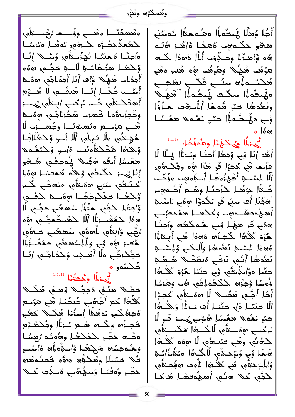ەھْھمَتْسْــا ەھْـــو ۋُـــــە رُضْــــدُّەر لحفْعنفْدَدُ ، حدوهُ مِي مُه هْلِ مَنْ مْمَا وَاجِئْنَا وَحِنْنَا نُهَزَّىٰهُمْ وَٰشَيْهِ ۖ إِنَّنَا وَّكعُـــا هزَّــهُاسًـــهِ لَّاــــهِ حَجَـــمٍ وهوَه أُحِمَّلِ مُولًى وُ}ِ أَنَا أُحِمَّاحُو , مَمْ أَمَّـــد خُـدْــا إنْــا هُعجَّـــم لَا هْــــبْـم تحرَرُ وَأَمْنِ الْمُسْكَمَّةِ مِنْ مَدَّةٍ وَالْمُسْكَمَّةِ الْمَسْكَمَّةِ مِنْ وَجَدَّىهُ مِا ضَعِيمَ هَجَائِمِ وَهَمِهِ قب هيَّ من منْهِ عَهْدُ اللَّهُ وَجْهَدَ: لَا هُهِـٰذُو، ولَا تَـٰبَـلْمِ، ٱلَّا أَــبِ وَّكِـحَكَّلاجُـا وَّىلاُهُا هَٰבُحْنَاُ۫وسُــ هَٰاسِرِ وَجَحْمَــُمَــلا همَّسُا أَحَدُه هُجَّى لِهُجَجَّى هُـ هُو إِنَّا يُهِمَّ حَكَّمَتُم فَعُدَّتُم مِنْهَا إِلَىٰ اللَّهِ مِنْ الْمَارَ بىڭ بىئەن رەڭنەھ بەتلىك بېتىنىڭ وَحْقُـا حَنْحَىٰ مُجُـا وهُـــهِ حَجَّــو وَّاجِزْاْ الْحَجَّى هِزُوْا مُعْمَعُبٍ حَجَّـى لَّا 9ةُ لِحَقَفَت; أَلَّا كَشَيْحُمِيَّـمٍ وَهُو برەڤ خابندُه، برەۋەن ئەھكىب خىر هَقَدَ: ﴿ وَبِ وَلَمْلِمَعِعِنَّهِ حَقَقَتُ أَلْمَ حَجَّدَاجُــِ ملَّا ٱهۡــجۡٮ وِّـدۡمَٰاجَـُـم ﴾ِنُــا كُكْسُوم \* لْمَ ذِمًّا وِكْحَتُوْمًا بِسَنَنَا حثَـــلا منّــهُ، هُجثــُــلا وْمــهُ، مَنْـُـــلا كَلّْهُا كُم أُجُهُبِ ضُجَّنًا مِّبِ مَيْسِمِ ەَجەمْكىي مەھُكا امۇما ھَكىلا مُعْلَم كُجِبْرُه وِكْ هِ هُــمِ سُـٰٓ;لَٰمُ وِجُكِــمْــٰمُومِ ەجْـه حجّج حكْحْفْـا وەدْھ رْهِينْـا وهُـومِنْده هَٰزِجِـهَـٰـا وَّاسِجُوبُاْهِ هَامِنَعبِ تُلا حمّملًا ومُكلِّهِ وهُو خُعبُ هُده َىجَــِ وَٱوۡتُــٰلُ وَۡسَـٰهُۖ۞ۚــبِ هُـــٰكُلِّ ـُــٰــلا

أَجُا وَهِلًا يُعصُّمَأُ مِعْدَمَا عُمَيْنَ لَجَمْهِ ھىۋو ئىڭتەھ قىمنىل ۋاقىز ھۇئ هَه وْاهِدْيَا وَجُهَّوْمٍ أَبَالَ هَهِهَا كَسْهِ هِ مُمَد مُدِيَّلا وهُ مُد هُو مُدب وهُم هَكشُــه أَ۳ه متَــــع تَكَـــــح تهَجــــع<br>مَهْــدَّـهُ أَلْــمَــدَّـهُ مَــدَّــهُ أَلْــدَّـهُــلا وِنُعْدَهُا حَبِّ هُدَهْا ٱلْمُدةَبِ هَذُوُّا وْبِ وَيُعشَّوبُهُ صَبْرٍ ثَعُّوبِ هِمُعَهَّلٍ وَيُعَمِّسُهُ ေါ်ရ

لِّي مَا أَلِي حَكِمُهَا وِهُوَوُكًا. يَسْتَلَبُّهُ أُهَٰذِ إِنَّا فِي وَجِعُدَ آَجِئُنَا وَسُزَلًٰا لِمَثَلًا لَلَّا لَلَّا َعِنُمِ مَن كَجِزَا فَي هُزْا هُو وِجُكِهُورٍ ٱلْل المْمْسِطِ ٱفْهَٰذُوهَا أَسْلَمُوهِب وَذُكِّب كُـٰذُا ۖ جَرْهُـا ۖ حَـٰزُحِنُـا وِهُــعِ أَجُــهِ مِــر ُّهُكُلُّ أَبِّ مِنِّ ثُمْ نَكُورُا وَهُمِ نَامْدِهِ ههُم ثُمٍّ ههُما وَّے هُـه كُـهُـه وَٱجنُـا هَيَّو كَلُّهُ/ كُجِنُّ هَ هُوهُ/ هُبِي أَبْدِيْهِ ۖ كَاهِدًا لِمُمْكِمٍ تُعْدَهُا وَلَأَمِكْبٍ وَلِمَمْكِمِ ىُعْدَهُا أَبُّمٍ نْرَضْ هُىعُصْلا هُىعَكِمْ حَكَّا هَوُّامِذَهُمْ فِي حَكَّا هُوَّ كَلُّـهُا وَّەممُا وَّجِزْهِ كَكَكُمُ!جُّە هُب وَهُنمُا أَجًا أَجَّـم, مُتَّـــلا لَّا 30مَــٰأَى كَجِــْٓا أَلَّا حَتَّـٰا هَلَّى حَتَّـٰا أُهِ ـُـٰٓ;َأَا وَكَـٰٓهُا الْمَ يَسْرِرُ بِهِ مُنْ السُمْسَةِ مَا يَكُمْ مِنْ الْمَرْضَ مُبِكَعِبٍ وَوَصَـٰدُوں لَّالِكُــوَٰا فِكَسِـنَدُوں لِحْمَٰى وَهْدٍ صُلَّحَةٍ لَّا مِهَمْ لَكُمْ الْمَسْرَةِ هُهُا فِي ثَبِّدخُهِ لَلكُهُا مَتْلَبُّابُهِ وْٱلْمَعْدَالُهِ، مْمِ كَلْدُوْا لِمُوبِ وَجُدِلاً و لحجَّم ۚ كَذَلا ۖ هُنَّم أَهِجٌوصَهْا مُرَكَّدا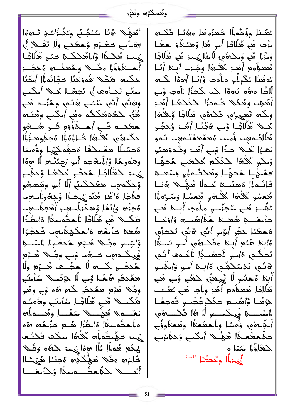وَهُدْكُرْهِ وَهُنَّى

 $\int_0^1 \hat{\mathbf{c}} \cdot \hat{\mathbf{c}}$ فَالَ  $\hat{\mathbf{c}}$  مَا مَمْكُمْ فَا مَدَّمَنَ مَعْلَمَا مَدَّ اهُمُّب حَثَّةٍم وَحفَك وِلًا تَفْكِي أَل يُحِمِّ مُحْكُما وْ/امُحْكَـٰهِ حَمَّـ هَٰلَاجْـا أَهْلُوٰوَٰٓا هَبَّىٰ وَهُعَنُــُ هَ هَنجَــز حكْمه هَضْلا َ فُوزِكْنُا حَجَّانُه لَمَّا أَمْثَنُا سَبٍّ نَحـزُهٖ أَن نَجِعْما كَــلا أَمِكْــمِ بِـهُ مَـذَهْبٍ مِـدُمُ مِـمَّدُ مِهْ أَمِّهِ هُـحَمَّةٍ مِ هُنِّي لِلْعُلِمُعَلِّكُمْ هِ هُمْ أَمْكُمْ وَهُنْسُهِ حككے تّے أُحسناًؤُوْهِ تَسب هُستُو حكَّمةُ مِنْ كَلُّهُ اخْتَلِهُمْ أَوْجَلُوهِ وَالْمَرَاءُ ەَجسَىلًا ھمَىىڭفَا ەَجِعُەڭگىا وۆەممَا وَهُدوهُا وْٱلْمَرْهُجِم أَبِرِ رُجِئْنُـْ۞ لَا ۞ ٱ يْهِمْ لِحْقَلَابُمَا هُدَهُمْ يُخْلَفُهَا وَجَدَانِمِ وَّدكّدہ معكلكىدٌ ٱلْلهُ أَسِ وِمُعمدُو حكْمِكُمْ وَاهُدْ هُنَّهُ جَهْدُوا وْجِعَةِ أُسْعَفْ ەْجِزُە وֻ)ئىمَا ۆھىكزلْمەم أَهْجِدَامەم هَكَنْكَ مْجَ هَٰلَاجْا غُمْجُوْمِنَاْلِ وَٱمْخُرَالِ هُعدَا حَزَمْهِ هَا هِكُمِناُ هِ حَكِيمًا وَّاجَنِ وَثَلا قَدْوَمِ هَدَشْوِا الْمُمْلَمِ فْيكْــە۞ دَــەُ وْسِــوشَــلا شْــرْم ـُمَحجُــــ ۚ كَـــــــهِ لَا ــمجَــــم مَحــــٰٓءٍم وِلَا همَّدَكُمْ هُـمُـا وْبِي لُا حَرَّتَـــلا مُأْمَنِّي وِبُلا مُثْرِم مَعْمَدَ ۚ لَامِ 60 وَٛ وَمَدِ هَكُــــلا هُــع هَٰلَابْــا مُنْمَنّـع وِهُوَــُـو مْقَــــه لا مْدِيَّــــــلا مَعْمَـــا وَهُــــه أَلَه وأحدَّد مذا وَّامدُ اللَّهُ عَلَيْهِ وَأَصْلَامَ يْهِمز حَمْحَدُه إِلَى كَلاُهَ الْمَكْفِ فَكْلُبُ لْمِحْمِ هَدْيًا عُلًّا هِمًا يُهِمْ حَدَّهُ وَجَهَلَا َ شَاءِٛه مِثَلا مُوَكُّدُه هَجِنَنَا هَيُصَال أبْحَـــــلا حِبْمِجَـــَـــومِندُا وَحَذَمَـــا

مِّعُمِبُل وَوَّدُوبُل خَعزَهِ هَا هِ هُمُل حَكْمِهِ ثَنْڢ ثَبِي مَكْلاَجْا أَمِرٍ مُدا وَّهتَـٰدَّاوَ حَقَـٰا وَّنزْءِ هُم وَّىكِيڤُورٍ لَّامِلُكَ وَ هُم هَكَلاَجُل هُعدِبُّومِ أَهُدٍ كَلِّدُهُ! وَجْهِد أَبِيَا أَنْـا عَمِّعُدًا مُكْبِئُي مِلْمَدٍ وْأَنَا أَهْوَا كُلُّهِ لَّاجُا هِ ُهُ نُهِ مَا كُب كُجِزًا لِأُوجِ وَْبِ أَهْلِم وَهُنْدٌ خُودُا لِمَحْدَهُا أَهُـ: وِكْهِ نَصِيمُ، تُكْهُم، هُكْلاَجْا وُلِكُمُا كَــلا هُكْلاَجْـا وْب هُجُنُـا ٱهْــز وِّحجَــز كَلَلْكُدومِ وَّەمب ەُھكَھكْدەوم شەۋ مُعَبُّ} كَــلا حَــزًا وَّـبِ أَهَدَ وَجُــٰءوَهمُو وَّىكُبِ كَلاُهُ/ حَكْكُم مُحْهَبٍ هَجِهُـاً ْهِمَّمُ لِمَجْهُا وِهَٰذِهُمْ وَهُمَّدَ وَهُمَّدَ تَائَدِيًٰا هَمشَــٰہٗ كَــٰهِلًّا مَٰهُـَـِٰ اللَّهُ لَـٰہِ كُعِمْيِنِ كَلَّاهُ! كَلَّـْهُ بِنَ مُعِمْدًا وَمَمْ وَهُ كَلَاسة هُبِ مَكْجَزَسَتِهِ وَلِمُوجَ أَبْتَكَ هُبَ هُ هِعَمَا حَجَّمٍ أَجْسٍ أَنَّهِ هُنَّهِ تُحْجَزُهِ كَابِنا هَنُع أَبِنا مِثْلُهُ مِ أَسِرٍ تَسْتُا تَجِكُمِ ةَاسِرٍ لِأَجِعَمَــجَّا لِّأَحْـوقِ أَنَّـمِ هُ تُم أُمِّيهِ أَمْرِ وَهُمُحَمَّحَةٍ وَأَمَّاسِرَ أَبَدْ هَمَّسَ الْمَرْضَ إِلَى الْمَسْمَدَةَ لَهَا أَ هَٰكَلاَجُل مُعجَّدُوم أَهَٰذٍ وَلَٰٓبَ مَن مُعُبِيبٍ ْجَهُمَا وْاْهُمْــمْ حَكْدِجُجُمْـو خُدْجَهُــا بِمَثْلِكَ أَنَّ الْأَ مِنْكُمِينَ مُسْتَدَمًّا وَأَنْقَالَ مِنْ مُسْتَدَمًّا وَأَ أَكِمُتِهُم، وُدَّمَا وَلَمْعَتَمَا وَقَدْهَا وَمَ حِبْمِعْمِـٰدًا مْدِيَّــلا أَسْكَبِ وَجِدِّيتِي حْقُاؤُ مِمْنَا \* لُابَا وِكْحَتُوْمَا بِسَنَّا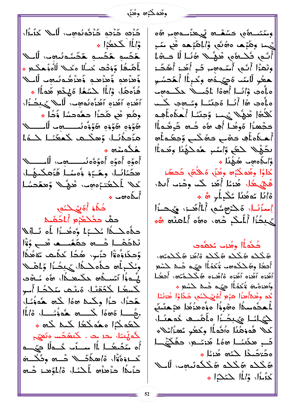وكعكثره وكئن

كَزْنِهِ كَزْنَهِ كَزْثُمُلُهِ وَ الْلَّهِ كَلَامُ ا وْالْمَا كَحْجُرَا \* هَكُسِهِ هَكُسِهِ هَكْشُهِ يُلِهِفَ لَلْكَلِ لَمُمَعُل وُوْثَت تَنبُلا مَحْنَا الْأُوَوُّحَكَتُمْ \* وَمِنْزَمِدٍ وَمَنْزَمِدٍ وَمَنْزَمَّدِهُ لَدِينٍ لَلْكَلِمَ هُزُوهُا، وْ}ِلًا حَسَّمًا وْكِخْع هُدِلًا مِ أهُدَهِ أَهَدَهِ أَهْدَّهُ نُوهِفٌ لَلْمَلا حَبِحُدُّا. وهُم هُم هَٰحزُا حمُّوصُا وَّجَا ﴾ @َوۡوٰهِ ۞َوۡوٰهِ ۞َوۡوُوۡهَ نُـــــــــ9ء لَّاـــــــــــ⁄ا هزَجهُنَا. وَهكْتَ خَعفَنَا حَدَّا ÷ gîsîrî أُووَهِ أُووَهِ أُووَّةُوفُ مِنْ وَمَنْ الْمَسْلَلَا هكْنُانُــا. وهَــَمْ: وْهمْــا فَزَهكْمِهْـا. كْمِلا لِمُحْشَدِّءِهِ فَيَنْ الْمَحْمَدِ وَهُدَمَدِ الْمُحْمَدِ مطكركوه أوكم حفْ حثَكْثَرْم ٱلْخَمَّىٰ حدُّه حـــدًا يُحـــرَ 1 وَوقُحــرًا لَمو يَـــأَنَــلا ثَلاحُثْما ثَــــــه حكَمُـــــم ثَبَ وُوَّا وَحذَافُوْقَا دَنُسٍ، هُدًا كَذَّىمَ مِّقَطَّا وْكْبِرْأُهِ حِدُّهِ كِمْكُوهُمْ وَلَمْكُمْ وَلَمْكُمْ وَلَمْكُمْ وَلَدْ يُدوُّا أَمِّسِـدُه حكّمعِـدًا. 6ُه مُـ-3ُ ﯩﯖﯩﯩﻐﻠ ﯕﻜﻘﻘﺎ. ﻣُﯩ*ﻨ*ﻪ ﻣ*ﯩ*ﻜﺪ*ﺍ ﺃ*ﺳ هَجَزًا، جزًا وِكْبِهِ 30\$ كُلُّهِ هُوَوَّيًا. بِأَلِمَا هَ90\$ لَكْتَ مِهْ هُوَدُكَ الْمُكَانَ وَٱلْمُلَا لمعَملُهُ الصَّمَلُكُمُ لَّكُمْ لَاهِ ﴾ بكُولُهَا، يجريف كَلْتَهُجُبْ وَتُعَيْ أَه مَكَمعُــا أَا مـــأب حُــولًا حيْـــه كَمَاوَةُوَّا، هُ/هِكْكُمْ دْھِيْنَ وَشَكْمَةَ حِزْمِكَمَا حِزْهِرْهِ لِمَكْسَارِ وْالْمُوهِمْ حْسِهِ

وهُ بوجد تُصرِبُ من مُسْمَر روڤ سَمْمَع بِنْ مِعَةٍ مِعَةٍ مِنْ هُوَ مِنْ مِنْ مِنْ مِنْ أَئُمِ تُكْتُوهِ مُؤَيَّلاً شَأْسًا لَّا حَــْشَاً. وِلْعِزْا أَلَـٰهِ أَمِّـهِ مِءِ كَـٰٓءٍ أَهَٰـٰٓءَ أَهَمَـٰٓءَ لعطير لَّامَمُه هَجِيْدُه وَكَيْرَاْ أَلْمُحَسَّنِ هِ أُوْتِ وْٱلْسَا ٱُووْا ۚ لَمُسَـٰلًا ۚ حَكْـُـووِت ەلمْەب ھُاڭلا ەَجنَّىْل وَيُــــــوب لَكَـــد كَلُّهُ) هُمْكَ \* يُسِنَ وَجِئْنَا أَسْلَاهَ أُهِمْ حَجْمَعُ الْهُوهُمَا أَبِّ رَوْهِ خُصْرِهِ خَرِهُمْ الْمُ أهـنكَمنَّك حثَّمــ حـرهُ حُــب وَّحِـعَــمنَّارَه لَكُهُلا ۖ لَكُعٌ وَّامُنُنَّبِ ۖ هُمَكُهُمَّا وَهُدَأَا كْلُوا وهُدْكُرْه وهُنَّ هَ لِلَّهُ كَحْقَة فْهِيْهِكُلْ: هُذِمُا أَهُذِ جُب وِضْنِبٍ أَبِيلٍ. ەٛائا مەھُنا ئېرلمى ۋە إِسْتَرَبَّ وَالْمَرْوِدُ إِلَّا أَهْدَى وَيُحِدُّ إِ يْ بِحُزًا أَلَمْكُمْ خُصْرٍ وَهُوَ أَلْمَصْنُ هُ \*

كُنُّه أُل وهُزم كُدهُه بِ

كَلْكُمْ تَكْلُكُمْ تَمْكُلُكُمْ وْأَهُدْ تَكْلُكُمْتُو، أُحعُل وهَ حَكْمِهِ وَتُحَمَّلُا حَيْمٍ ضُمَّ حَسْمَ أهُدْه أهُدْه أهُدْه وْأهُدْه هَكْلِـؤْيُهِ، أَحِعُـأ وأهزؤُوهُ وُكَمُلًا حَيْمٍ ضُمِّ كَشْعِ \* تُد وقَدْأَهَدُا هِءُمْ أَهْنَى حَمَّهِ حَدَّاوُا هُتَنَكْبَا أهدُّومماً المُووُّا ووُّوهدُّهُا همُّممَّتُ ملندمة علىفذه انحبرة لنلرك كَمِلًا ۖ فَهُوَهُمُلُ وَاُدُّهُ أَلَّا وِكُعُو ۖ مُعَمُّ ٱمْلَا \* كَعِ هكْسُـا هەُا هُزْسُــهِ. حفَكَيْنَــا ەكتكىكا ئىدە ئىزئا . ھَكْكُ ھَكْكُمْ ھَكْگُمْتُىمْتَ لَّاسْلًا كَدَّمْلًا: وْݣَلْلْ حْكَكْرًا مْ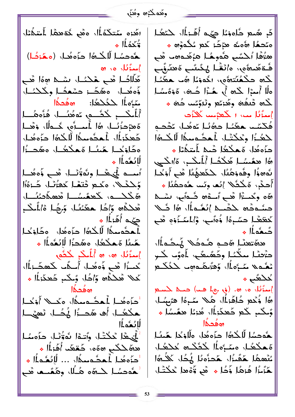اهَٰذِه مَّتتَكَمُلًا. وهُم خُةههَا لِمُتمُرَا. **وُّكْڪُلُّا ﴾** هُوصُبا لَّاجُدهُا جزَوهُا. (وهُزِجُا) إِسْؤُلُوا: ٥٠ (٥ هَٰلَائُــا مْـــى هْـْــئــا. ىسْــى ھەُا مْـــى ذُهِ هَا. وهُكُم: حسْمِقُا وِكُلْمَا. مَبْرُه أَا لِكُلْهُا: وَقُصْرًا أَلْمَكْبِ كُثَّــمٍ مُومُنَــا وُوُومُــا هُ هرُدزُنُــا. هُا أُمـــرُه، حُـــهلُا. وَهْــا كَعِجْزِيْلَ الْمَحْدِمِجَّا لِّلْكُرْهَا جَزْدِهُمْ. ەكلۈكىل ھَىنُسل ەَھكىھُسلى ەھَجسۇل لُلنُمُّه لُم اُمحہ لَمْنِی هُما وِنُوتُوْنَے وَ مَعْرِ وَ وَ مَحْسَلا وَّكْحُكْ، مَكْمِ فْتَهْا كَعْتُوْا، ضَرْهُٱ ھَكَكسە، كَعمَّسُا مُعمَّائسُلَّا. قْتِكْلُوهِ وَٱكْلَ هَعَنْتُكُلْ وَٰرِجُكُمْ وَٱلْمُتَكَبِّرِ ه الْمَوْمَ هُ أُهجُّومجُل لِّلَكْرُه احزُوهُل وحُلْوَجُل هَٰبِئًا هَـمَـكَعُلِ مِهَجِزًا لَّانُعُوَاً ﴾ إِسْأَمَا، ۞، ۞ أَلَمْكُمْ لَحْقُومِ كَسِزًا هُبِ وَّهِ هُمَا. أَسِلَمَا كَمِعْضَـزِلًا. كَمِلا شَكِلُهُ وَاتًا. وُلَّكُم تَعِدَّالًا \* ါ်လမီတ أَدَوْهُما أَلْمَدُّومِمْلًا، وَكَمَلاً أَوْكُمْ هكْعُــا. أَفْ هُدْــزًا هُـدُـا. نْعهْيْــا لُانُمُّه لُم ُ أَيَٰ هَٰلِ كَحُتْنَا، ۖ وَٱتِـٰهَا ۖ نُوَوُّنَـٰلٍ ۚ دَرِّهِ مُنَـٰلٍ ههَكْمِ 30\$، كَمْعَد أُهُّ; أَا \* ْجَزُومُكَ أَنْفَدْعَنِيْهِ ... لِلْهُدَاْ \*. ُ هُدَمَسًا لِحَدِهُ هُـُلَا. وهُمُسَعَّ هُبِ

كَ هُمو حَاوِظٍ حَيْ أُهَٰٓ مَٰلًا وَ حَمْلَا مَحْمَلِ هُءِمٌ مِبْحَةٍ كُمْ مُكُوْمٌ \* هَزُفًا ٱلْحُسَّى هُوهُـا هزْهُــوهــ هُــع قُـةهُدهُّى، ه/نْغْـالْمُدَّسَّـ هُمْدُوَّمَــ لْحُرْهِ حِكْمُتَتَوَّى، بِكُونَا رُهُ حَعَّمُا وْلًا أَسْوَا كُلُّهَ أَنْ هُـزًا حُـرَفٌ: وَوَقَسْمًا لْكُلُّهُ شُلُفُةً وَهُٰٓئِكُمْ وِلْلُؤُمِّسَ شُلُّهُ ﴾ إمعَ ثُل مدد الكعوَّمِية لَكَّرَفَ فُكْسًى هِعَمًا دَهُنَا مَهْداً، مُحْدِهِ لِحَقُّ أَرْدِكْتْ! لْمُدَّدْمِهْ الْكُرْهَ دَّوهُا، هَمكْهُا دُمِّ أَسْلُمْا \* هْ ا هِمُسُا هَكْتُا ٱلْمُكْسِ وَٱلْكَسِ بُهودُا وِقُودْهُمُا. ۖ لِكَعِيْمُا مِّنِي أَوْبُدا أُحِذْرٍ، هَكْثُلا إِلَٰه وِنَس هُوَجِعُلًا ﴾ هُه وِكُمِيةُ أَهْبِي ٱسْهُرْهِ شُهَّكٍ. يشْبِهِ حسَّـوحُـره للحُمْــــــــم إنْـهُـــه أنَّـــه وَ أَحْـــلا كَعْتَقَا حَمْدِهُ أُوَّنِّ وَٱلْمَذَّوْهِ هُم دُ وهُوباُل هُ ههُتعنا هُجو هُءكُلا لَمُحُمأًا. حَبْدَلَا مكْتُا وكَهُمعُبَ، أَهوًا كُلِّر ىْعُد*ىلا مْخْرَەلْلْ: ۆَقْتْبْتْ*مەرەب ئىلگىلىر ىُلمُسْمِ \* إستُما: ٥، ٥، (في رها هما) همك لمسع هُا ذُكُم حُاهُ; أَا، هُلا مُّجِهُ! فَرُسُلًا، وُكْبِ كُمْ كُعِكْبْلًا. هُـْئْلْ هِعْسْلَا \* ါလစိတ هُوصُل لِّلكُهُ! جزِّوهُا: ولَّاوْجُا هَيئًا. ەْھكھُا، ەممْبۇەلُمْ كْتْݣُرە ئىنھا، مُنْعِمًا هَفَّزًا، هَدزُه لا يُحُل كَدُهُا هَّنُوْا قُزِهَا ذُكَرِ \* فَي تُوْمِدا كَكْتْبا.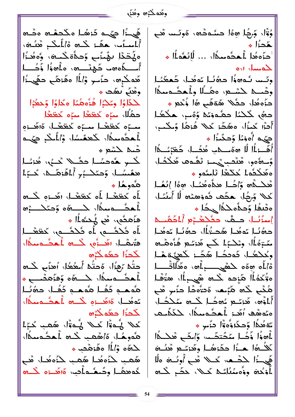وَهُدْكُنْرُهُ وَهُنَّى

هَ وَ مِنْ مَرْدَهُ الْمُوتَ مِنْ الْمَرِيَّ أُماممِيَّدٍ. هَقَامَ حَمْدَ هُ الْمُكْمِ هُنُمْةٍ. ەكْتْدَا ىكْتُب وۡحَدَّةىكْــة، وْۡەھۡـَٰٓا أَكْلَمُوهِ وَحَمِنْكُ وَالْمَوْزَا وَّدَٰكُمْ الْمُؤْمَّلُ هُدمُكُرُهِ: حزَّىبٍ وْٱلْمَا هَفَزِهَٰبٍ حَيَّىٰہُ ٱ وثَنبٌ تَبِمُت \* لكذَّاوُا ومُكْرًا فُزَّەهُمُا مِكْاوُا وَحِعْدًا حمُلًا، سرِّه كَعْعْدًا سرِّه كَعْعْدًا مسرِّه كَعْقَصْهِ مِسرِّهِ كَعْقَصْهِ وَاهْدِهِ أهدُّه ممارًا، كَعفَسُا، وْالْمِكْرِ دِيْءَ ضُم لحَسْمِ \* لْحُسِبِ حَدْمَصْلِ حَدًى لَا تَحْسُى، هُزَئَسَلَ همُسُلٍّ وَحَكَـــرُ لِٱلْقَرْهَـــهِ. كَــرَا هُومُا \* لَم حُقَقَا لَم حُقَقَا. اهُــزه حْــه هَ أَلْمَشْكُلُ هُوَ مُعَهَّلًا ﴾ لَه شَدشَـــم، لَم شَدشَـــم، كَمَتمْـــا قَتُمِصْلِنَ الْحَسَنُونَ كَلْسِي أَنْفَسُمْ مِنْذَانَ لكحرًا حعّه لكتهم حتُم رُهزًا، هَجتُم أَحعُعُا، اُهنَّى كَلِهِ أَهشُـــوسمُا. كــــةه وُفزُهضُــــع \* هُمعــمِ كَفُــا هُمعــمِ كَفُــا. حـ2ْنُــا مُعقُداً. ةَاقْدَى كْمِ أُحْشُومِهْ). لكحزًا حعّه لكرّه كَحِلًا يُـُوتْرَا كَحِلًّا يُـُوتْرَا، هُمْعَبِ كَجَمْ هُومًا: هَ/هُمب كُــرَه لْمَحْـوممُّا:  $\star$ الْمَاهِ وَالْمَالِ وَهُوَهُ هَذِهِ  $\Delta$ هُعب حَزْهِ هُـا هُعب حَزْهِ هُـا. هُبِ جُوههُا وِصَّعْداًفٍ، وَاهَدو كُلُوه

وُوَّاً، وُرِجًا هِوَّا حِسَّمَتُوهِ، وُوِيِّس هُمِ **ـمَّد**َٰ \* أَحِزُهِ مُعْلِ الْمَحْقَوِيمِ الْإِن مِنْ الْهُوَ الْمُؤْوَلَا ﴾ لحويبيل اره وِيَّىب شَمْهُوُّا حَهُنَّا مُمْحَانَ جُمْعَيَّا وضُبط لحَسْبُ وهُــُلا وأُحجَــُـومِيدًا حزَّہ هُا، حثَلا هُقفُ هُا وُكُم \* حىلى لَحْمْدُا حصَّومْهْ وَمَّبِ حَكْمُهُ أَجْنَ كَجِزًا، وهَجَّز كَبِلا قُزِهَا وُحِكْسٍ؛ حيّد أُهوْمُا وَحِكْبُوا \* أُهَّــزِيُّا لَّا هؤســـهب هُدُـــا، خَفْزَئـــدًا وًى هُو. هُنْصِي بْهِم: نْݣُحِص هَٰكْحُـا. هَكُدُّه! حُكْمًا نَاحُدُو \* قْتَحْـذُهُ وَٱحْـا هَدُّهِ هُنَـا. هِهَا إِنْعُـا كَمِلًا وَٰرِجًا. حَجَّفَ ثَوْوَهِدُهِ لَٰٓا أَمِنُنَا. وَمُعَامُ وَحَدَّهُ حَدَّابٍ مُ حەُنُا مُعمُّا هُجَۃُلًا، حەُنُا مُعمُّا مَنْزَهُ أَلَن وَيَكْرَا كُبِ هَٰزَيْتُمْ قُزُّهِ هُشُرُهُ وكلحُما، ضَمِصْه هَضَـز لَكْعِيَّة هُـا أَكَلُّهُ مِنْ مَكْتَمِي مِنْ مُكْلَاتٌ لَ وَقُكُمُ الْمَ رَحِمِ كُلُّهِ هُيْ الْمُسْتَوَاءِ مَعُوْضًا هُنْبِ كُلُّهِ هُبُنِعٌ ۚ هُضُّوضًا حِنُّسٍ هُبِ أَلمْوْهِ، هُزْسُم مُهجُل كُلُّه مَكْحُلٍ. ەئەھْھ أَهْز لْمِحْـومىدًا، ݣْݣْدْسِع | مّةهُدُا وُحكَافُووّْا دَّسٍ \* ـأَهوَٰٓا وَٚحُــا مَّحَّتحَـــٰ، وَٰۢاحَبِ مُكَــدًا كَلُّــةُا حَــزًا حَدَّوَهُــا وهُـزَـُــع هْنُــة فَي أَا لِكَـــم، كَــلا مْبِي أُونُــف هُلْا لَمُوْدُهُ ووُّەمْمُلُكُمْ كُمْلًا؛ حَضَّرٍ كُمُو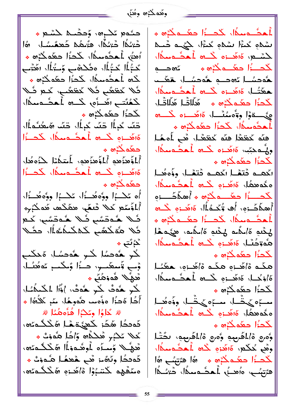حثَّم مَلْحِرُهِ. وَحَضَّكُمْ لَحْشُمْ \* ضَّئْمًا ضَتْكُلْ فَتُعَكِّدْ خَعْفَيْسًا. ﴿ أهتُن أُحدُه ممارًا، كَدَرًا دهَٰه كُنْ \* \* كَــٰٓءُاًا كَـٰٓءَٰٕاًا، وشَكِّدُب وَّــۃُااْ، اهَٰٓۃُٮبِ لْحُرْهِ الْمِحْدِمِيمَا. لَحْدَٰا حَقَّدِكْرْ \* ثَلا كَقْفَبِ ثَلا كَقْفَبٍ: كَـْعْ ثَـْلا كْمُتَبِ الْهَـزْمِ ݣَــــهِ لْمَحْـــوممْال لكحزًا حعّد كُثَرَه \* حْنُب كَرِلُمْ حَنَّبَ كَرِلُمْ. حَنَّب هَبْكُنُولُمْ. ةَاهَدْوِ كَلَّهِ أَحْدُدْمَا، كَحَدُّا  $\cdot$   $\alpha$   $\sim$   $\alpha$ ٱلمَوْهَدُهِ ٱلْمَوْهَدُهِ لِمُتَمَامَ لِأَوْهَا. ةَاهْدَهِ كُنْ هُ الْمُحْسَمِيمًا، كَجِبَزًا  $\ast$  on  $\mathbb{Z}$  and  $\ast$ أَه مُكْمُ! ووَّهفُخُوا: مُكْمُ! ووَّهفُخُوا: أَلمُؤْمَّكُمْ كَلا شُعَّى: مَعَكُمُه مُدكَّبِرِ \* ثُـلا هُـ٥ضَنّب ثُـلا هُـ٥ضَنّب: كَــ٥ ثَلا هُةكْهُم كْدْكُمُهُمْلِ. حثْلا **ٛۮۥؙۭٮٞٛؾ؞** لْحُرِ هُوَصُلًا لَحْتِرٍ هُوَصُبًا: وَجَحَّنَـج وْبِ وَّٰمِعَۡسَــُو، صـ;ُّا وَّىكُـــمِ مَّەھُلَــا، *ۿڮڷ۠؇*ڡۛڡ۫؋ڡۢ*ڵ۪؞* لْحَوِّ هُدَتْ لَخُو هُدَتْ؛ إِذًا لِمَكْتُمُهُمْا. أُكُلُّ هَدَٰرًا هُوُّمَتْ هُدُوِيمًا. يَتَمَّ لَلْأَبُهَا \* *®* كَاوُا وِكْثُرَا فُزُّەهُمُا *®* كەدكا ھَدَّ: حَكَيْمَة الْمُتَحَمَّدُ مَنْ مَنْ مَنْ مَنْ كَمِلًا كَحْبُرٍ هُحْكُمُ وَاحُلُ هُءَفِتْ \* هْدُبْ وَسِيرُه لْمُوشَدْوْلُمْ بْهُ كَكْدَيْهِ : كَەدْدًا وِنَسَّىٰ مِنْ هُمْهَـٰا هُـُدوْتٌ \* مَمْفَهِم كَسْبُوْا ةَاهْدَهِ وَكَكُمَوهِ.

أمدً مماًا، كَداً مكْمكِرُه \* ىشكام گىنْزا ىشكام گىنْزا، لىك دْسكا لحقيق وَاهُيَاهِ كُنْ وَاهْتُومِهَا: كحائل حكام كيره \* مته حسم معُوصلُها مُوصَدِ معُوصلُها، مقطَّب هَعَتُهِ أَنْ هَاهُدِهِ عَمْدُ الْمُحَسَّمِيمَانَ كْحرّْا حمّْـمكْرْه ۞ مّْلَاتْبَا مّْلَاتْبا. يُ قَوْلُ وِقُومُنْنَا. وَاهْدُو كُلُّ و أهدُّه سِمَّانَ كَدْرًا حَقَّهَكُرْهِ ﴾ هنّه كَعْعْدًا هنّه كَعْعْدًا، مْبِ لَمْهُا ويُدهنه، ةَاهَدْه كَسْ الْمُحَدِّدِها، لكدا حقمكةه \* الكعم دْتْقْمَا الْحْمَمْ دْتْقْمَا. وَوّْهِ هُما ەئدەھكان كَالْهَيْزِةِ لِكْتُلْهِ لْمُعَشَّدْمِيلَان كحسرًا حعّ وحُرْه \* أهمَّ حَسنه أَههكُكُّ زو، أَفْ قُكُمُ أَلَّ وَاهَٰ زَوِ كَلَّهِ أحدَّدمكُم الله حكَّدة \* الْمُصِرْبُه ،عدامُ أَهْ عَلَيْهِ هداُماهَ عَنْهِم هُوَدُنْيَا، وَاهُنو كُنْ أَحْدُومِهَا: كْحَزَا حِعَمْكَيْهِ \* هكُم ةَاهُدِو هكُم ةَاهُدُو. حَقَمُه كَاوْكُمْ دَاهُمْ وْ كْمُدْ مْالْحْشُومْهْلْ. | كُحزًا حعّه كُثَرَه \* لكُوهُ عَلَيْهِ مَنْ السَّرْهِ مَنْ السَّرْهِ وَذَهَ مَنْ السَّرْبَةِ وَذَهَبَ مَنْ السَّمْرَ مَنْ ا مَكْمَعْطًا: فَاهْبَوِ ݣُـْ مُ الْمُحْمِيمَالْ: الخدا حكمكره \* وُّەرە ةُالمُفْرَمِي وُەرە ةُالمُفْرِمِيةِ، يَحُثُّلُ وقْع كْكُمْ: ةَاهْدْو ݣْلْهْ أَحْدْهُ مِكْمَاءَ كَحِزًا حكَمِكْبُره \* لأَهْ هُبْتَهُمْ لِهَ هِ وَتَهْبَى: هاُهِدْئُي أُلْهِدْهِ مِمْاً! خْتِرْكُماً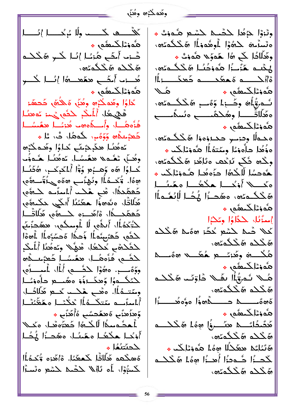وَهُدْكُرْ۞ وَهُنَّى

هُومْالِكْتْهُمْ، \* حْــزب أَيضًـ هُزْسًا إِنّـا كُــرٍ هَكْكــه ھُگُلُم ھُگُگُمَّين هُـــز، أَمضَـــ هُهَهــــهُ/ إنْـــا لِحْــــبِ هُوزَالِكُمِعْهِ \* كَاوُا وهُدكُرُه وهُنِّي هَجْدُهُ، حُحهُ: فَطِيْهِمْا. ٱلْمُحْمِ حَدَّمِ يَسْمَ مَّهْ مِنْهُمْ فُؤْهِفُ). وأَكْلُهِ هِ هُوَيْـًا هِمُسُــا كَعْبُسْلُاهِ وَوُمُسٍ، بِكُمْهَا، تُ، يْا مِ كُوهُنَا هِكْرِجَتِّ كَاوُا وِهُدِكْرَهِ وقُنَّى مْقُدِيَة فَقَيْشَانَ مُوقَبَّا هُدَوُّت كْتَاوُا هُو وُهْتُو وُوْٓا ٱلْمُكْمِكْتِ: هُكُنَّا المُصَابِرُ مَنْ الْمَوْجَمِعَ مِنْ الْمَصْلَحَةَ مِنْ أَمْرَةَ مِنْ مَنْ وَجَمَعَتْ مِنْ مَنْ حُعمَدِهُا. مْبِ هْكِ ٱلْمِعَرَّدِ كَــْ وَهُ مِ هَٰلَاتَٰا، ويُووؤُا حِعَيْنُا أَرِكَبِي حِكْمِوْمٍ حُعمَّدےُّا، ۉَ/هُـــزه ۞حُــوهُ، هَـُلاَثْـــا لِتُبَكَّمُ*اْ*ا: أَبِيأَهِ, لَا يُوسِكُمِ.. مِعْمَدَّنِّبِ لِحَثَمِ خَعَيْبِيَّهِ أَ ذَكَرًا هَدَيْبِهِ أَلْمَهَا لحَثَلاهُ عليها. مُلاَس وهُمثا أَأَكْر لْحَدُّے، فُزُّہْصًا، مِعْسُلا ضَعرُّتِ اُم ووَةَ بِ مِنْ وَاسْتَ مِنْ أَمْلًا، أُمِيتُ وَيَ لكنگــوُا وُهكَــرؤُو وهُبـــع حلُّووُـــا ومَّتْدُاً. وَهْبِ هُكْسَ كُنْعَ هَٰلَائُنَا. أَءْمِيَرْصِــو مِمْتكْــوُ أَل كَـذُّكَــا وهَقَنُكُــا وُهاَهنَّ وَهَهَجِسًا وَأَهَنَّا وَ أَحدُه مِمَا لَأَحْدُوا دَعَتُوهُما وَحَمْد أَوْكُما هِكْعُمَا مَعْنُمَا وَهُجَدًا يُحُمَّا حدسٌمُا م هُهكُمو هُلَاتْل كُمعُبُل وْاهُزِه وُكُواُلُ كْمِتْرُوْا، لَم تَأْلُمْ حَضْهِ حَمْعِ وَيُسِرَّا

ونُزْوَا جَرْهُا حَضَّىمَ حَسْمِ هُءِفْ \* ەنْسْأَمَة لِحَدَّوْا لْمُوهُدۇلُا شَكْلُدَە مَ وهَٰلَائُا ﴾ وهُا هُوَيْد هُوَيْنَ ﴾ لِكْسِم هُنُسْزًا هُمْوَهُنَا هَكْكُمَةٌ». ةأأحـــــــه مَــمعَـحـــــــه ضَعحَـــــــــزلمُّا مُّەوْتْلِكْىعْتُمْ \* \* \* \* صُلا ئەرۋاھ وڭغا ۋۇب ھڭگىمتە: | مُهوْمْلِكْمِعْي \* | ممحالًا ودنسو حمدوهوا وكككمترهن هُوُهُا حِلُّووْمُا وِمَتّْقُلًا هُووْمُلِكُمْ \* وڭ ه هُكّى ئىڭدى ەئاھْز ھَكْدُە مە. هُوصُا لِّالْحُمُّا جَزْوِهُا هُوْءُلِكُمْ \* وكمسلا أوجب المعكعك ومقتنسا هَكَكُمَمَهِ، وهَدَءُ لَهُدًا لِلْهُمَا لَلْهُم أهدُوْمْلِكْتْبْعَيْنِ ﴾ |إسرّْنُا، حِيَّاوُا وِيْجَا!| كَمْلَا شَمْ لَحْشُعْ كُحُمْ مَقْمَةً مَكْلَمُهُ المَكْلُمُ الْمَكْلُمُةِ: هُكُــة وَهُنْمَـــع هُعَــــد «هُمَــــد هُهُوْمْلِكْتِيْهُمْ ﴾ هُـلا نُـه,وُّأَا ىفَـلا غْاوِّنَــٰ هَٰلْـُلـٰـه هُكُلُمْ هُكْلُمُدُهِ. مُّەۏْيْلِكْىمْيە ، هُدُمُائُے هنُے وَٰا ۱٬۵۵ هَ كُلے كَلْكُمْ هَكْكُمْ». هَ نَنْائِكَ مِعَكْلًا هِءُ مُعْدَلَكَ \* كْحِبُرُا حُبْدِدُا أُهِيزُا هِمْا هَكْكِيم الْمَكْلُمُ الْمُكْلُمُ مَنْ